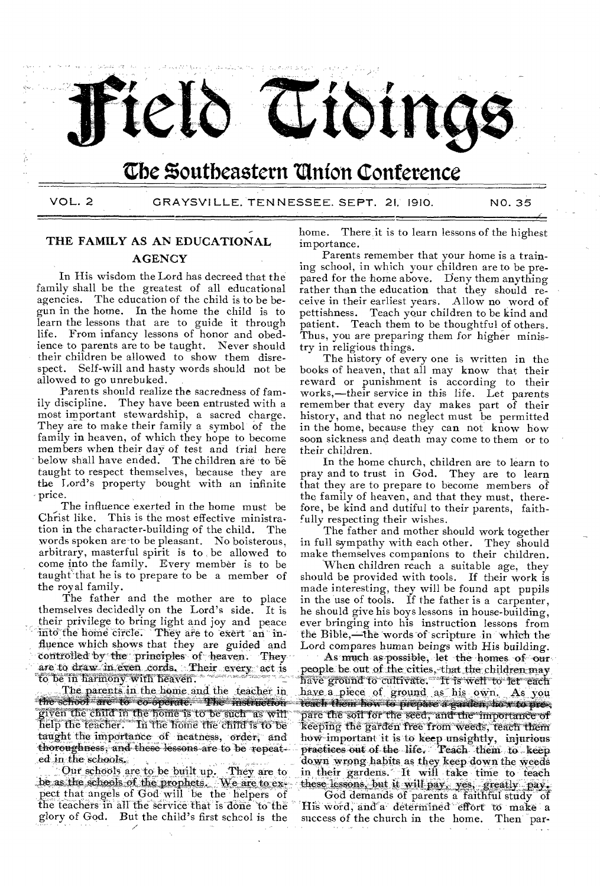

# **Cbe Soutbeastern union Conference**

VOL. 2 GRAYSVILLE, TENNESSEE, SEPT. 21, 1910. NO. 35

# THE FAMILY AS AN EDUCATIONAL

## **AGENCY**

In His wisdom the Lord has decreed that the family shall be the greatest of all educational agencies. The education of the child is to be begun in the home. In the home the child is to learn the lessons that are to guide it through life. From infancy lessons of honor and obedience to parents are to be taught. Never should their children be allowed to show them disrespect. Self-will and hasty words should not be allowed to go unrebuked.

Parents should realize the sacredness of family discipline. They have been entrusted with a most important stewardship, a sacred charge. They are to make their family a symbol of the family in heaven, of which they hope to become members when their day of test and trial here below shall have ended. The children are to be taught to respect themselves, because they are the Lord's property bought with an infinite - price.

The influence exerted in the home must be Christ like. This is the most effective ministration in the character-building of the child. The words spoken are-to be pleasant. No boisterous, arbitrary, masterful spirit is to be allowed to come into the family. Every member is to be taught that he is to prepare to be a member of the royal family.

The father and the mother are to place themselves decidedly on the Lord's side. It is their privilege to bring light and joy and peace home circle. They are to exert fluence which shows that they are guided and controlled by the principles of heaven. They are to draw in even cords. Their every act to be in harmony with heaven.

The parents in the home and the teacher in. the school are to co-operate. The instruction given the child in the home is to be such as wifl Biven the teacher. In the home the child is to be taught the importance of neatness, order, and thoroughness, and these lessons are to be repeated in the schools.

Our schools are to be built up. They are to be as the schools of the prophets. We are to expect that angels of God will be the helpers of the teachers in all the service that is done to the glory of God. But the child's first schcol is the

home. There,it is to learn lessons of the highest importance.

Parents remember that your home is a training school, in which your children are to be prepared for the home above. Deny them anything rather than the education that they should receive in their earliest years. Allow no word of pettishness. Teach your children to be kind and patient. Teach them to be thoughtful of others. Thus, you are preparing them for higher ministry in religious things.

The history of every one is written in the books of heaven, that all may know that their reward or punishment is according to their works,—their service in this life. Let parents remember that every day makes part of their history, and that no neglect must be permitted in the home, because they can not know how soon sickness and death may come to them or to their children.

In the home church, children are to learn to pray and to trust in God. They are to learn that they are to prepare to become members of the family of heaven, and that they must, therefore, be kind and dutiful to their parents, faithfully respecting their wishes.

The father and mother should work together in full sympathy with each other. They should make themselves companions to their children.

When children reach a suitable age, they should be provided with tools. If their work is made interesting, they will be found apt pupils in the use of tools. If the father is a carpenter, he should give his boys lessons in house-building, ever bringing into his instruction lessons from the Bible,—the words of scripture in which the Lord compares human beings with His building.

As much as possible, let the homes of our people be out of the cities, that the children may have ground to cultivate. It is well to let each have a piece of ground as his own. As you teach them how to prepare a garden, how to prepare the soil for the seed; and the importance of keeping the garden free from weeds, teach them'' how important it is to keep unsightly, injurious practices out of the life.. Teach them to keep 'down wrong habits as they keep down the weeds down wrong habits as they keep down the weeds<br>
in their gardens. It will take time to teach<br>
these lessons, but it will pay, yes, greatly pay.<br>
God demands of parents a faithful study of

His word, and a determined effort to make a success of the church in the home. Then par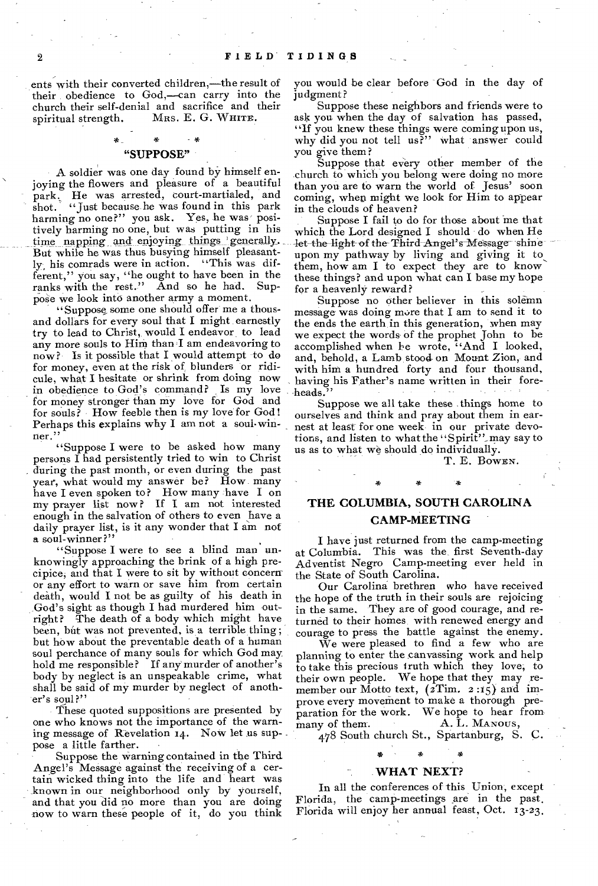ents with their converted children,—the result of their obedience to God,—can carry into the church their self-denial and sacrifice and their spiritual strength. MRS. E. G. WHITE.

## \* \* "SUPPOSE"

A soldier was one day found by himself enjoying the flowers and pleasure of a beautiful park, He was arrested, court-martialed, and shot. "Just because he was found in this park harming no one?" you ask. Yes, he was positively harming no one, but was putting in his time napping and enjoying things generally. But while he was thus busying himself pleasantly, his comrads were in action. "This was different," you say, "he ought to have been in the ranks with the rest." And so he had. Supranks with the rest." pose we look into another army a moment.

"Suppose, some one should offer me a thousand dollars for every soul that I might earnestly try to lead to Christ, would I endeavor to lead any more souls to Him than I am endeavoring to now? Is it possible that I would attempt to do for money, even at the risk of blunders or ridicule, what I hesitate or shrink from doing now in obedience to God's command? Is my love for money stronger than my love for God and for souls? How feeble then is my love for God! Perhaps this explains why I am not a soul-winner."

"Suppose I were to be asked how many persons I had persistently tried to win to Christ during the past month, or even during the past year, what would my answer be? How many have I even spoken to? How many have I on my prayer list now ? If I am not interested enough in the salvation of others to even have a daily prayer list, is it any wonder that I am not a soul-winner?"

"Suppose I were to see a blind man unknowingly approaching the brink of a high precipice, and that I were to sit by without concern or any effort to warn or save him from certain death, would I not be as guilty of his death in God's sight as though I had murdered him outright? The death of a body which might have been, but was not prevented, is a terrible thing; but how about the preventable death of a human soul perchance of many souls for which God may hold me responsible? If any murder of another's body by neglect is an unspeakable crime, what shall be said of my murder by neglect of another's soul?"

These quoted suppositions are presented bY one who knows not the importance of the warning message of Revelation 14. Now let us suppose a little farther.

Suppose the warning contained in the Third Angel's Message against the receiving of a certain wicked thing into the life and heart was known in our neighborhood only by yourself, and that you did no more than you are doing now to warn these people of it, do you think you would be clear before God in the day of judgment ?

Suppose these neighbors and friends were to ask you when the day of salvation has passed, "If you knew these things were coming upon us, why did you not tell us?" what answer could you give them?

Suppose that every other member of the church to which you belong were doing no more than you are to warn the world of Jesus' soon coming, when might we look for Him to appear in the clouds of heaven,?

Suppose I fail to do for those about me that which the Lord designed I should do when He let the light of the Third Angel's Message shine let the light of the Third Angel's Message shine<br>upon my pathway by living and giving it to<br>them, how am I to expect they are to know these things? and upon what can I base my hope for a heavenly reward?

Suppose no other believer in this solemn message was doing more that I am to send it to the ends the earth in this generation, when may we expect the words of the prophet John to be accomplished when he wrote, "And I looked, and, behold, a Lamb stood. on Mount Zion, and with him a hundred forty and four thousand, having his Father's name written in their foreheads.

Suppose we all take these things home to ourselves and think and pray about them in earnest at least for one week in our private devotions, and listen to what the "Spirit"' may say to us as to what we should do individually.

T. E. BOWEN.

٠x

## THE COLUMBIA, SOUTH CAROLINA CAMP-MEETING

I have just returned from the camp-meeting at Columbia. This was the, first Seventh-day Adventist Negro Camp-meeting ever held in the State of South Carolina.

Our Carolina brethren who have received the hope of the truth in their souls are rejoicing in the same. They are of good courage, and returned to their homes with renewed energy and courage to press the battle against the enemy.

We were pleased to find a few who are planning to enter the canvassing work and help to take this precious truth which they love; to their own people. We hope that they may remember our Motto text,  $(2\ti{Time: 2:15})$  and improve every movement to make a thorough preparation for the work. We hope to hear from many of them. A. L. MANOUS, many of them. A. L. MANOUS,

478 South church St., Spartanburg, S. C.

# \* \*

#### WHAT NEXT?

In all the conferences of this Union, except Florida, the camp-meetings are in the past. Florida will enjoy her annual feast, Oct. 13-23.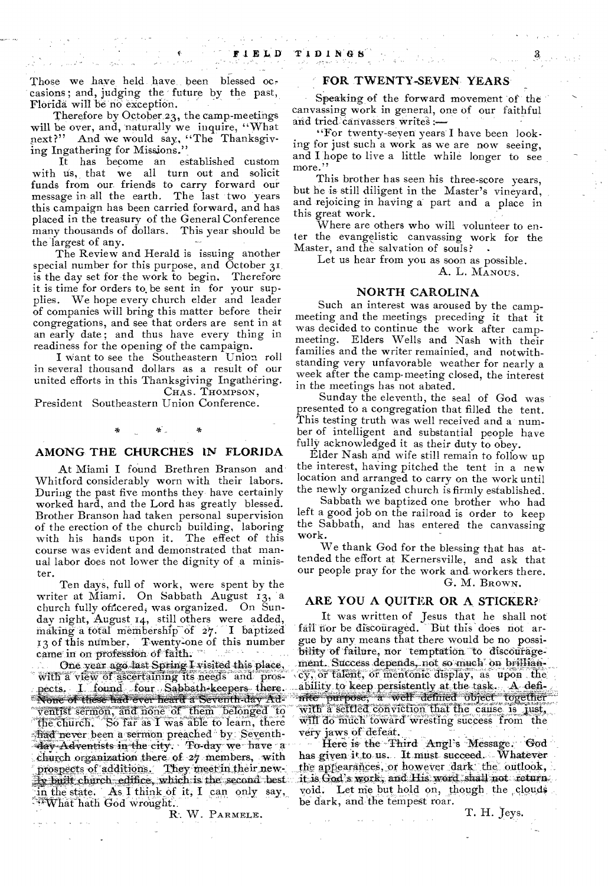Those we have held have been blessed occasions; and, judging the future by the past, Florida will be no exception.

Therefore by October 23, the camp-meetings will be over, and, naturally we inquire, "What<br>next?" And we would say, "The Thanksgiv-And we would say, "The Thanksgiving Ingathering for Missions."

It has become an established custom with us, that we all turn out and solicit funds from our friends to carry forward our message in all the earth. The last two years this campaign has been carried forward, and has placed in the treasury of the General Conference many thousands of dollars. This year should be the largest of any.

The Review and Herald is issuing another special number for this purpose, and October 31 is the day set for the work to begin. Therefore it is time for orders to. be sent in for your supplies. We hope every church elder and leader of companies will bring this matter before their congregations, and see that orders are sent in at an early date; and thus have every thing in readiness for the opening of the campaign.

I want to see the Southeastern Union roll in several thousand dollars as a result of our united efforts in this Thanksgiving Ingathering. CHAS. THOMPSON,

President Southeastern Union Conference.

告

#### AMONG THE CHURCHES IN FLORIDA

At Miami I found Brethren Branson and Whitford considerably worn with their labors. During the past five months they have certainly worked hard, and the Lord has greatly blessed. Brother Branson had taken personal supervision of the erection of the church building, laboring with his hands upon it. The effect of this course was evident and demonstrated that manual labor does not lower the dignity of a minister.

Ten days, full of work, were spent by the writer at Miami. On Sabbath August 13, a church fully officered, was organized. On Sunday night, August 14, still others were added, making a total membership of 27. I baptized 13 of this number. Twenty-one of this number came in on profession of faith;

One year ago last Spring I visited this place, With a view of ascertaining its needs and prospects. I found four Sabbath-keepers there. None of these-had ever-heard a Seventh-day Ad-' ventist sermon, and none of them belonged t9 the church. So far as  $I$  was able to learn, there frad never been a sermon preached by. Seventhday Adventists in the city. To day we have a church organization there of 27 members, with prospects of additions. They meet in their newily built church edifice, which is the second best in the state. As I think of it, I can only say, 4What-hath God wrought.

R. W. PARMELE.

#### FOR TWENTY-SEVEN YEARS

Speaking of the forward movement of the canvassing work in general, one of our faithful and tried canvassers writes :-

"For twenty-seven years I have been looking for just such a work as we are now seeing, and I hope to live a little while longer to see more."

This brother has seen his three-score years, but he is still diligent in the Master's vineyard, and rejoicing in having a part and a place in this great work.

Where are others who will volunteer to enter the evangelistic canvassing work for the Master, and the salvation of souls?

Let us hear from you as soon as possible. A. L. MANOUS.

#### NORTH CAROLINA

Such an interest was aroused by the campmeeting and the meetings preceding it that it was decided to continue the work after campmeeting. Elders Wells and Nash with their families and the writer remainied, and notwithstanding very unfavorable weather for nearly a week after the camp-meeting closed, the interest in the meetings has not abated.

Sunday the eleventh, the seal of God was presented to a congregation that filled the tent. This testing truth was well received and a number of intelligent and substantial people have fully acknowledged it as their duty to obey.

Elder Nash and wife still remain to follow up the interest, having pitched the tent in a new location and arranged to carry on the work until the newly organized church is firmly established.

Sabbath we baptized one brother who had left a good job on the railroad is order to keep the Sabbath, and has entered the canvassing work.

We thank God for the blessing that has attended the effort at Kernersville, and ask that our people pray for the work and workers there. G. M. BROWN.

#### ARE YOU A QUITER OR A STICKER?

It was written of Jesus that he shall not fail nor be discouraged. But this does not argue by any means that there would be no possibility of failure, nor temptation to discouragement. Success depends, not so much on brillianev, of talent, or mentonic display, as upon the ability to keep persistently at the task. A defi-nite purpose; a well defined "abject together, with a settled conviction that the cause is just, will do much toward wresting success from the very jaws of defeat.

Here is the Third Angl's Message. God has given it to us. It must succeed. Whatever the appearances, or however dark the outlook, it is God's work, and His word shall not return. void. Let me but hold on, though the clouds be dark, and the tempest roar.

T. H. Jeys.